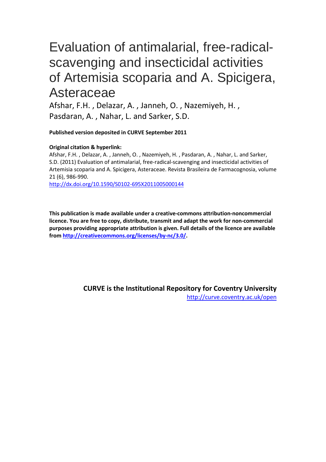# Evaluation of antimalarial, free-radicalscavenging and insecticidal activities of Artemisia scoparia and A. Spicigera, **Asteraceae**

Afshar, F.H. , Delazar, A. , Janneh, O. , Nazemiyeh, H. , Pasdaran, A. , Nahar, L. and Sarker, S.D.

**Published version deposited in CURVE September 2011**

# **Original citation & hyperlink:**

Afshar, F.H. , Delazar, A. , Janneh, O. , Nazemiyeh, H. , Pasdaran, A. , Nahar, L. and Sarker, S.D. (2011) Evaluation of antimalarial, free-radical-scavenging and insecticidal activities of Artemisia scoparia and A. Spicigera, Asteraceae. Revista Brasileira de Farmacognosia, volume 21 (6), 986-990.

http://dx.doi.org/10.1590/S0102-695X2011005000144

**This publication is made available under a creative-commons attribution-noncommercial licence. You are free to copy, distribute, transmit and adapt the work for non-commercial purposes providing appropriate attribution is given. Full details of the licence are available from http://creativecommons.org/licenses/by-nc/3.0/.** 

> **CURVE is the Institutional Repository for Coventry University** http://curve.coventry.ac.uk/open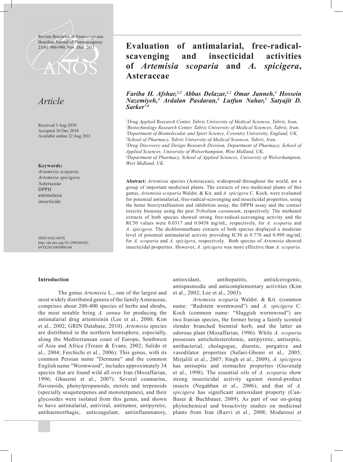Revista Brasileira de Farmacognosia Brazilian Journal of Pharmacognosy



# *Article*

Received 3 Aug 2010 Accepted 30 Dec 2010 Available online 22 Aug 2011

**Keywords:**

*Artemisia scoparia Artemisia spicigera* Asteraceae DPPH antimalaria insecticide

ISSN 0102-695X http://dx.doi.org/10.1590/S0102- 695X2011005000144

#### **Introduction**

 The genus *Artemisia* L., one of the largest and most widely distributed genera of the family Asteraceae, comprises about 200-400 species of herbs and shrubs, the most notable being *A. annua* for producing the antimalarial drug artemisinin (Lee et al., 2000; Kim et al., 2002; GRIN Database, 2010). *Artemisia* species are distributed in the northern hemisphere, especially, along the Mediterranean coast of Europe, Southwest of Asia and Africa (Trease & Evans, 2002; Salido et al., 2004; Ferchichi et al., 2006). This genus, with its common Persian name "Dermane" and the common English name "Wormwood", includes approximately 34 species that are found wild all over Iran (Mozaffarian, 1996; Ghasemi et al., 2007). Several coumarins, flavonoids, phenylpropanoids, sterols and terpenoids (specially sesquiterpenes and monoterpenes), and their glycosides were isolated from this genus, and shown to have antimalarial, antiviral, antitumor, antipyretic, antihaemorrhagic, anticoagulant, antiinflammatory,

# 21(6): 986-990, Nov./Dec. 2011 **Evaluation of antimalarial, free-radicalscavenging and insecticidal activities of** *Artemisia scoparia* **and** *A. spicigera***, Asteraceae**

# *Fariba H. Afshar,1,2 Abbas Delazar,1,2 Omar Janneh,3 Hossein Nazemiyeh,4 Ardalan Pasdaran,4 Lutfun Nahar,5 Satyajit D. Sarker\*,6*

 *Drug Applied Research Center, Tabriz University of Medical Sciences, Tabriz, Iran, Biotechnology Research Center, Tabriz University of Medical Sciences, Tabriz, Iran, Department of Biomolecular and Sport Science, Coventry University, England, UK, School of Pharmacy, Tabriz University of Medical Sciences, Tabriz, Iran, Drug Discovery and Design Research Division, Department of Pharmacy, School of* 

*Applied Sciences, University of Wolverhampton, West Midland, UK,*

*6 Department of Pharmacy, School of Applied Sciences, University of Wolverhampton, West Midland, UK.*

**Abstract:** *Artemisia* species (Asteraceae), widespread throughout the world, are a group of important medicinal plants. The extracts of two medicinal plants of this genus, *Artemisia scoparia* Waldst. & Kit. and *A. spicigera* C. Koch, were evaluated for potential antimalarial, free-radical-scavenging and insecticidal properties, using the heme biocrystallisation and inhibition assay, the DPPH assay and the contact toxicity bioassay using the pest *Tribolium castaneum*, respectively. The methanol extracts of both species showed strong free-radical-scavenging activity and the RC50 values were 0.0317 and 0.0458 mg/mL, respectively, for *A. scoparia* and *A. spicigera*. The dichloromethane extracts of both species displayed a moderate level of potential antimalarial activity providing IC50 at 0.778 and 0.999 mg/mL for *A. scoparia* and *A. spicigera*, respectively. Both species of *Artemisia* showed insecticidal properties. However, *A. spicigera* was more effective than *A. scoparia.*

> antioxidant, antihepatitis, antiulcerogenic, antispasmodic and anticomplementary activities (Kim et al., 2002; Lee et al., 2003).

> *Artemisia scoparia* Waldst. & Kit. (common name: "Redstem wormwood") and *A. spicigera* C. Koch (common name: "Sluggish wormwood") are two Iranian species, the former being a faintly scented slender branched biennial herb, and the latter an odorous plant (Mozaffarian, 1996). While *A. scoparia* possesses anticholesterolemic, antipyretic, antiseptic, antibacterial, cholagogue, diuretic, purgative and vasodilator properties (Safaei-Ghomi et al., 2005; Mirjalili et al., 2007; Singh et al., 2009), *A. spicigera* has antiseptic and stomachic properties (Guvenalp et al., 1998). The essential oils of *A. scoparia* show strong insecticidal activity against stored-product insects (Negahban et al., 2006), and that of *A. spicigera* has significant antioxidant property (Can-Baser & Buchbauer, 2009). As part of our on-going phytochemical and bioactivity studies on medicinal plants from Iran (Razvi et al., 2008; Modaressi et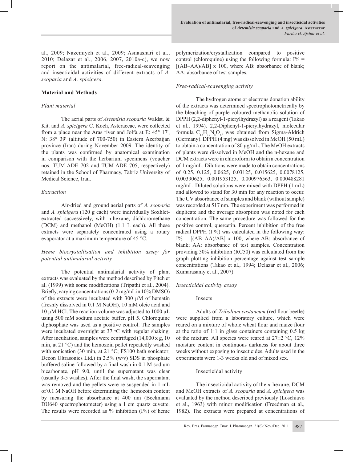al., 2009; Nazemiyeh et al., 2009; Asnaashari et al., 2010; Delazar et al., 2006, 2007, 2010a-c), we now report on the antimalarial, free-radical-scavenging and insecticidal activities of different extracts of *A. scoparia* and *A. spicigera.*

# **Material and Methods**

# *Plant material*

The aerial parts of *Artemisia scoparia* Waldst. & Kit. and *A. spicigera* C. Koch, Asteraceae, were collected from a place near the Aras river and Jolfa at E: 45° 17', N: 38° 39' (altitude of 700-750) in Eastern Azerbaijan province (Iran) during November 2009. The identity of the plants was confirmed by anatomical examination in comparison with the herbarium specimens (voucher nos. TUM-ADE 702 and TUM-ADE 705, respectively) retained in the School of Pharmacy, Tabriz University of Medical Science, Iran.

# *Extraction*

Air-dried and ground aerial parts of *A. scoparia*  and *A. spicigera* (120 g each) were individually Soxhletextracted successively, with n-hexane, dichloromethane (DCM) and methanol (MeOH) (1.1 L each). All these extracts were separately concentrated using a rotary evaporator at a maximum temperature of 45 °C.

# *Heme biocrystallisation and inhibition assay for potential antimalarial activity*

The potential antimalarial activity of plant extracts was evaluated by the method described by Fitch et al. (1999) with some modifications (Tripathi et al., 2004). Briefly, varying concentrations (0-2 mg/mL in 10% DMSO) of the extracts were incubated with  $300 \mu M$  of hematin (freshly dissolved in 0.1 M NaOH), 10 mM oleic acid and 10  $\mu$ M HCl. The reaction volume was adjusted to 1000  $\mu$ L using 500 mM sodium acetate buffer, pH 5. Chloroquine diphosphate was used as a positive control. The samples were incubated overnight at  $37 °C$  with regular shaking. After incubation, samples were centrifuged (14,000 x g, 10 min, at 21 °C) and the hemozoin pellet repeatedly washed with sonication (30 min, at 21 °C; FS100 bath sonicator; Decon Ultrasonics Ltd.) in 2.5% (w/v) SDS in phosphate buffered saline followed by a final wash in 0.1 M sodium bicarbonate, pH 9.0, until the supernatant was clear (usually 3-5 washes). After the final wash, the supernatant was removed and the pellets were re-suspended in 1 mL of 0.1 M NaOH before determining the hemozoin content by measuring the absorbance at 400 nm (Beckmann DU640 spectrophotometer) using a 1 cm quartz cuvette. The results were recorded as  $\%$  inhibition (I $\%$ ) of heme

polymerization/crystallization compared to positive control (chloroquine) using the following formula:  $I\%$  =  $[(AB-AA)/AB]$  x 100, where AB: absorbance of blank; AA: absorbance of test samples.

# *Free-radical-scavenging activity*

The hydrogen atoms or electrons donation ability of the extracts was determined spectrophotometrically by the bleaching of purple coloured methanolic solution of DPPH (2,2-diphenyl-1-picrylhydrazyl) as a reagent (Takao et al., 1994). 2,2-Diphenyl-1-picrylhydrazyl, molecular formula  $C_{18}H_{12}N_5O_6$ , was obtained from Sigma-Aldrich (Germany). DPPH (4 mg) was dissolved in MeOH (50 mL) to obtain a concentration of 80 μg/mL. The MeOH extracts of plants were dissolved in MeOH and the n-hexane and DCM extracts were in chloroform to obtain a concentration of 1 mg/mL. Dilutions were made to obtain concentrations of 0.25, 0.125, 0.0625, 0.03125, 0.015625, 0.0078125, 0.00390625, 0.001953125, 0.000976563, 0.000488281 mg/mL. Diluted solutions were mixed with DPPH (1 mL) and allowed to stand for 30 min for any reaction to occur. The UV absorbance of samples and blank (without sample) was recorded at 517 nm. The experiment was performed in duplicate and the average absorption was noted for each concentration. The same procedure was followed for the positive control, quercetin. Percent inhibition of the free radical DPPH (I %) was calculated in the following way:  $I\% = [(AB-AA)/AB] \times 100$ , where AB: absorbance of blank; AA: absorbance of test samples. Concentration providing 50% inhibition (RC50) was calculated from the graph plotting inhibition percentage against test sample concentrations (Takao et al., 1994; Delazar et al., 2006; Kumarasamy et al., 2007).

### *Insecticidal activity assay*

### Insects

Adults of *Tribolium castaneum* (red flour beetle) were supplied from a laboratory culture, which were reared on a mixture of whole wheat flour and maize flour at the ratio of 1:1 in glass containers containing 0.5 kg of the mixture. All species were reared at  $27\pm2$  °C,  $12\%$ moisture content in continuous darkness for about three weeks without exposing to insecticides. Adults used in the experiments were 1-3 weeks old and of mixed sex.

### Insecticidal activity

The insecticidal activity of the *n*-hexane, DCM and MeOH extracts of *A. scoparia* and *A. spicigera* was evaluated by the method described previously (Loschiavo et al., 1963) with minor modification (Freedman et al., 1982). The extracts were prepared at concentrations of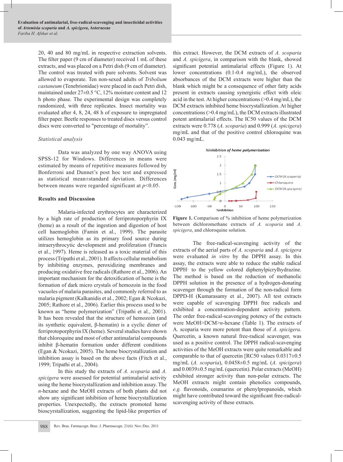20, 40 and 80 mg/mL in respective extraction solvents. The filter paper  $(9 \text{ cm of diameter})$  received 1 mL of these extracts, and was placed on a Petri dish (9 cm of diameter). The control was treated with pure solvents. Solvent was allowed to evaporate. Ten non-sexed adults of *Tribolium castaneum* (Tenebrionidae) were placed in each Petri dish, maintained under 27±0.5 °C, 12% moisture content and 12 h photo phase. The experimental design was completely randomized, with three replicates. Insect mortality was evaluated after 4, 8, 24, 48 h of exposure to impregnated filter paper. Beetle responses to treated discs versus control discs were converted to "percentage of mortality".

# *Statistical analysis*

 Data was analyzed by one way ANOVA using SPSS-12 for Windows. Differences in means were estimated by means of repetitive measures followed by Bonferroni and Dunnet's post hoc test and expressed as statistical mean±standard deviation. Differences between means were regarded significant at *p*<0.05.

# **Results and Discussion**

 Malaria-infected erythrocytes are characterized by a high rate of production of ferriprotoporphyrin IX (heme) as a result of the ingestion and digestion of host cell haemoglobin (Famin et al., 1999). The parasite utilizes hemoglobin as its primary food source during intraerythrocytic development and proliferation (Francis et al., 1997). Heme is released as a toxic material of this process (Tripathi et al., 2001). It affects cellular metabolism by inhibiting enzymes, peroxidizing membranes and producing oxidative free radicals (Rathore et al., 2006). An important mechanism for the detoxification of heme is the formation of dark micro crystals of hemozoin in the food vacuoles of malaria parasites, and commonly referred to as malaria pigment (Kalkanidis et al., 2002; Egan & Ncokazi, 2005; Rathore et al., 2006). Earlier this process used to be known as "heme polymerization" (Tripathi et al., 2001). It has been revealed that the structure of hemozoin (and its synthetic equivalent, β-hematin) is a cyclic dimer of ferriprotoporphyrin IX (heme). Several studies have shown that chloroquine and most of other antimalarial compounds inhibit β-hematin formation under different conditions (Egan & Ncokazi, 2005). The heme biocrystallization and inhibition assay is based on the above facts (Fitch et al., 1999; Tripathi et al., 2004).

 In this study the extracts of *A. scoparia* and *A. spicigera* were assessed for potential antimalarial activity using the heme biocrystallization and inhibition assay. The *n*-hexane and the MeOH extracts of both plants did not show any significant inhibition of heme biocrystallization properties. Unexpectedly, the extracts promoted heme bioscyrstallization, suggesting the lipid-like properties of this extract. However, the DCM extracts of *A. scoparia*  and *A. spicigera*, in comparison with the blank, showed significant potential antimalarial effects (Figure 1). At lower concentrations (0.1-0.4 mg/mL), the observed absorbances of the DCM extracts were higher than the blank which might be a consequence of other fatty acids present in extracts causing synergistic effect with oleic acid in the test. At higher concentrations (>0.4 mg/mL), the DCM extracts inhibited heme biocrystallization. At higher concentrations (>0.4 mg/mL), the DCM extracts illustrated potent antimalarial effects. The IC50 values of the DCM extracts were 0.778 (*A. scoparia*) and 0.999 (*A. spicigera*) mg/mL and that of the positive control chloroquine was 0.043 mg/mL.



Figure 1. Comparison of % inhibition of heme polymerization between dichloromethane extracts of *A. scoparia* and *A. spicigera*, and chloroquine solution.

 The free-radical-scavenging activity of the extracts of the aerial parts of *A. scoparia* and *A. spicigera*  were evaluated *in vitro* by the DPPH assay. In this assay, the extracts were able to reduce the stable radical DPPH· to the yellow colored diphenylpicrylhydrazine. The method is based on the reduction of methanolic DPPH solution in the presence of a hydrogen-donating scavenger through the formation of the non-radical form DPPD-H (Kumarasamy et al., 2007). All test extracts were capable of scavenging DPPH free radicals and exhibited a concentration-dependent activity pattern. The order free-radical-scavenging potency of the extracts were MeOH>DCM>*n*-hexane (Table 1). The extracts of A. scoparia were more potent than those of *A. spicigera*. Quercetin, a known natural free-radical scavenger, was used as a positive control. The DPPH radical-scavenging activities of the MeOH extracts were quite remarkable and comparable to that of quercetin [RC50 values 0.0317±0.5 mg/mL (*A. scoparia*), 0.0458±0.5 mg/mL (*A. spicigera*) and 0.0039±0.5 mg/mL (quercetin). Polar extracts (MeOH) exhibited stronger activity than non-polar extracts. The MeOH extracts might contain phenolics compounds, *e.g.* flavonoids, coumarins or phenylpropanoids, which might have contributed toward the significant free-radicalscavenging activity of these extracts.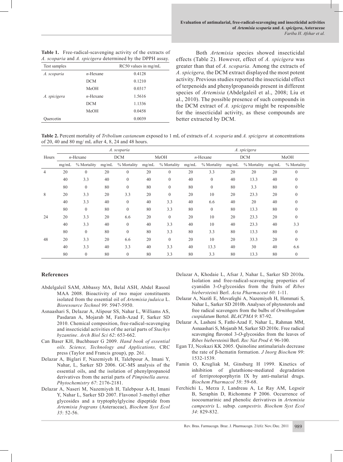| A. scoparia and A. spicigera determined by the DPPH assay. |             |                      |  |  |  |  |  |  |
|------------------------------------------------------------|-------------|----------------------|--|--|--|--|--|--|
| Test samples                                               |             | RC50 values in mg/mL |  |  |  |  |  |  |
| A. scoparia                                                | $n$ -Hexane | 0.4128               |  |  |  |  |  |  |
|                                                            | <b>DCM</b>  | 0.1210               |  |  |  |  |  |  |
|                                                            | MeOH        | 0.0317               |  |  |  |  |  |  |
| A. spicigera                                               | $n$ -Hexane | 1.5616               |  |  |  |  |  |  |
|                                                            | DCM         | 1.1336               |  |  |  |  |  |  |
|                                                            | MeOH        | 0.0458               |  |  |  |  |  |  |
| Quercetin                                                  |             | 0.0039               |  |  |  |  |  |  |

**Table 1.** Free-radical-scavenging activity of the extracts of

Both *Artemisia* species showed insecticidal effects (Table 2). However, effect of *A. spicigera* was greater than that of *A. scoparia.* Among the extracts of *A. spicigera,* the DCM extract displayed the most potent activity. Previous studies reported the insecticidal effect of terpenoids and phenylpropanoids present in different species of *Artemisia* (Abdelgaleil et al., 2008; Liu et al., 2010). The possible presence of such compounds in the DCM extract of *A. spicigera* might be responsible for the insecticidal activity, as these compounds are better extracted by DCM.

**Table 2.** Percent mortality of *Tribolium castaneum* exposed to 1 mL of extracts of *A. scoparia* and *A. spicigera* at concentrations of 20, 40 and 80 mg/ mL after 4, 8, 24 and 48 hours.

|                |             |                  | A. scoparia |                |       |              | A. spicigera |                |            |             |       |             |
|----------------|-------------|------------------|-------------|----------------|-------|--------------|--------------|----------------|------------|-------------|-------|-------------|
| Hours          | $n$ -Hexane |                  | <b>DCM</b>  |                | MeOH  |              | $n$ -Hexane  |                | <b>DCM</b> |             | MeOH  |             |
|                | mg/mL       | % Mortality      | mg/mL       | % Mortality    | mg/mL | % Mortality  | mg/mL        | % Mortality    | mg/mL      | % Mortality | mg/mL | % Mortality |
| $\overline{4}$ | 20          | $\mathbf{0}$     | 20          | $\mathbf{0}$   | 20    | $\mathbf{0}$ | 20           | 3.3            | 20         | 20          | 20    | $\Omega$    |
|                | 40          | 3.3              | 40          | $\overline{0}$ | 40    | $\mathbf{0}$ | 40           | $\overline{0}$ | 40         | 13.3        | 40    | $\Omega$    |
|                | 80          | $\boldsymbol{0}$ | 80          | $\mathbf{0}$   | 80    | $\mathbf{0}$ | 80           | $\overline{0}$ | 80         | 3.3         | 80    | $\theta$    |
| 8              | 20          | 3.3              | 20          | 3.3            | 20    | $\mathbf{0}$ | 20           | 10             | 20         | 23.3        | 20    | $\Omega$    |
|                | 40          | 3.3              | 40          | $\mathbf{0}$   | 40    | 3.3          | 40           | 6.6            | 40         | 20          | 40    | $\theta$    |
|                | 80          | $\boldsymbol{0}$ | 80          | $\mathbf{0}$   | 80    | 3.3          | 80           | $\overline{0}$ | 80         | 13.3        | 80    | $\Omega$    |
| 24             | 20          | 3.3              | 20          | 6.6            | 20    | $\mathbf{0}$ | 20           | 10             | 20         | 23.3        | 20    | $\theta$    |
|                | 40          | 3.3              | 40          | $\overline{0}$ | 40    | 3.3          | 40           | 10             | 40         | 23.3        | 40    | 3.3         |
|                | 80          | $\boldsymbol{0}$ | 80          | $\theta$       | 80    | 3.3          | 80           | 3.3            | 80         | 13.3        | 80    | $\theta$    |
| 48             | 20          | 3.3              | 20          | 6.6            | 20    | $\mathbf{0}$ | 20           | 10             | 20         | 33.3        | 20    | $\Omega$    |
|                | 40          | 3.3              | 40          | 3.3            | 40    | 3.3          | 40           | 13.3           | 40         | 30          | 40    | 6.6         |
|                | 80          | $\boldsymbol{0}$ | 80          | $\mathbf{0}$   | 80    | 3.3          | 80           | 3.3            | 80         | 13.3        | 80    | $\Omega$    |

# **References**

- Abdelgaleil SAM, Abbassy MA, Belal ASH, Abdel Rasoul MAA 2008. Bioactivity of two major constituents isolated from the essential oil of *Artemisia judaica* L. *Bioresource Technol 99*: 5947-5950.
- Asnaashari S, Delazar A, Alipour SS, Nahar L, Williams AS, Pasdaran A, Mojarab M, Fatih-Azad F, Sarker SD 2010. Chemical composition, free-radical-scavenging and insecticidal activities of the aerial parts of *Stachys byzantine*. *Arch Biol Sci 62*: 653-662.
- Can Baser KH, Buchbauer G 2009. *Hand book of essential oils. Science, Technology and Applications,* CRC press (Taylor and Francis group), pp. 261.
- Delazar A, Biglari F, Nazemiyeh H, Talebpour A, Imani Y, Nahar, L, Sarker SD 2006. GC-MS analysis of the essential oils, and the isolation of phenylpropanoid derivatives from the aerial parts of *Pimpinella aurea. Phytochemistry 67*: 2176-2181.
- Delazar A, Naseri M, Nazemiyeh H, Talebpour A-H, Imani Y, Nahar L, Sarker SD 2007. Flavonol 3-methyl ether glycosides and a tryptophylglycine dipeptide from *Artemisia fragrans* (Asteraceae), *Biochem Syst Ecol 35*: 52-56.
- Delazar A, Khodaie L, Afsar J, Nahar L, Sarker SD 2010a. Isolation and free-radical-scavenging properties of cyanidin 3-*O*-glycosides from the fruits of *Ribes biebersteinii* Berl. *Acta Pharmaceut 60*: 1-11.
- Delazar A, Nazifi E, Movafeghi A, Nazemiyeh H, Hemmati S, Nahar L, Sarker SD 2010b. Analyses of phytosterols and free radical scavengers from the bulbs of *Ornithogalum cuspidatum* Bertol. *BLACPMA 9*: 87-92.
- Delazar A, Lasheni S, Fathi-Azad F, Nahar L, Rahman MM, Asnaashari S, Mojarab M, Sarker SD 2010c. Free radical scavenging flavonol 3-*O*-glycosides from the leaves of *Ribes biebersteinii* Berl. *Rec Nat Prod 4*: 96-100.
- Egan TJ, Ncokazi KK 2005. Quinoline antimalarials decrease the rate of β-hematin formation. *J Inorg Biochem 99*: 1532-1539.
- Famin O, Krugliak M, Ginsburg H 1999. Kinetics of inhibition of glutathione-mediated degradation of ferriprotoporphyrin IX by anti-malarial drugs. *Biochem Pharmacol 58*: 59-68.
- Ferchichi L, Merza J, Landreau A, Le Ray AM, Legseir B, Seraphin D, Richomme P 2006. Occurrence of isocoumarinic and phenolic derivatives in *Artemisia campestris* L. subsp. *campestris. Biochem Syst Ecol 34*: 829-832.